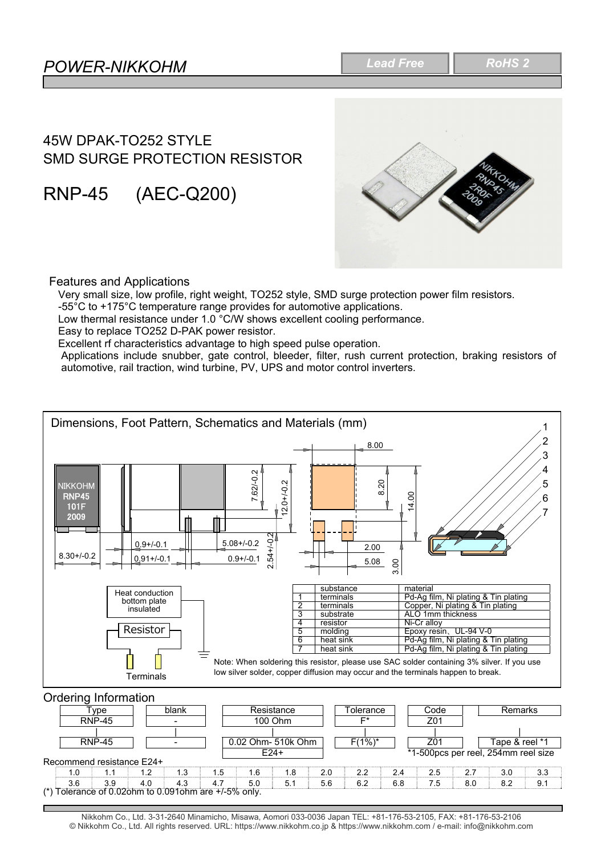# 45W DPAK-TO252 STYLE SMD SURGE PROTECTION RESISTOR

RNP-45 (AEC-Q200)



### Features and Applications

Very small size, low profile, right weight, TO252 style, SMD surge protection power film resistors.

-55°C to +175°C temperature range provides for automotive applications.

Low thermal resistance under 1.0 °C/W shows excellent cooling performance.

Easy to replace TO252 D-PAK power resistor.

Excellent rf characteristics advantage to high speed pulse operation.

Applications include snubber, gate control, bleeder, filter, rush current protection, braking resistors of automotive, rail traction, wind turbine, PV, UPS and motor control inverters.



Nikkohm Co., Ltd. 3-31-2640 Minamicho, Misawa, Aomori 033-0036 Japan TEL: +81-176-53-2105, FAX: +81-176-53-2106 © Nikkohm Co., Ltd. All rights reserved. URL: https://www.nikkohm.co.jp & https://www.nikkohm.com / e-mail: info@nikkohm.com